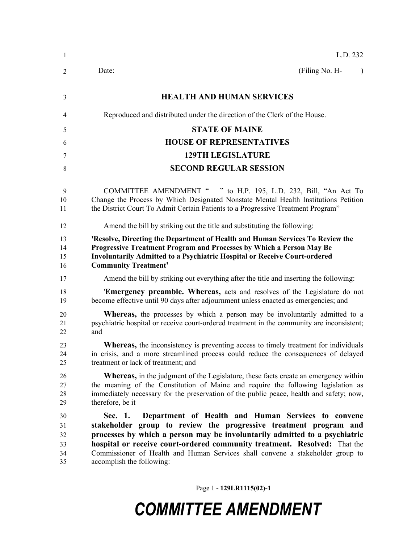| $\mathbf{1}$                     | L.D. 232                                                                                                                                                                                                                                                                                                                                                                                                     |
|----------------------------------|--------------------------------------------------------------------------------------------------------------------------------------------------------------------------------------------------------------------------------------------------------------------------------------------------------------------------------------------------------------------------------------------------------------|
| 2                                | (Filing No. H-<br>Date:<br>$\lambda$                                                                                                                                                                                                                                                                                                                                                                         |
| 3                                | <b>HEALTH AND HUMAN SERVICES</b>                                                                                                                                                                                                                                                                                                                                                                             |
| 4                                | Reproduced and distributed under the direction of the Clerk of the House.                                                                                                                                                                                                                                                                                                                                    |
| 5                                | <b>STATE OF MAINE</b>                                                                                                                                                                                                                                                                                                                                                                                        |
| 6                                | <b>HOUSE OF REPRESENTATIVES</b>                                                                                                                                                                                                                                                                                                                                                                              |
| 7                                | <b>129TH LEGISLATURE</b>                                                                                                                                                                                                                                                                                                                                                                                     |
| 8                                | <b>SECOND REGULAR SESSION</b>                                                                                                                                                                                                                                                                                                                                                                                |
| 9<br>10<br>11                    | <b>COMMITTEE AMENDMENT "</b><br>" to H.P. 195, L.D. 232, Bill, "An Act To<br>Change the Process by Which Designated Nonstate Mental Health Institutions Petition<br>the District Court To Admit Certain Patients to a Progressive Treatment Program"                                                                                                                                                         |
| 12                               | Amend the bill by striking out the title and substituting the following:                                                                                                                                                                                                                                                                                                                                     |
| 13<br>14<br>15<br>16             | 'Resolve, Directing the Department of Health and Human Services To Review the<br>Progressive Treatment Program and Processes by Which a Person May Be<br>Involuntarily Admitted to a Psychiatric Hospital or Receive Court-ordered<br><b>Community Treatment'</b>                                                                                                                                            |
| 17                               | Amend the bill by striking out everything after the title and inserting the following:                                                                                                                                                                                                                                                                                                                       |
| 18<br>19                         | <b>Emergency preamble. Whereas,</b> acts and resolves of the Legislature do not<br>become effective until 90 days after adjournment unless enacted as emergencies; and                                                                                                                                                                                                                                       |
| 20<br>21<br>22                   | <b>Whereas</b> , the processes by which a person may be involuntarily admitted to a<br>psychiatric hospital or receive court-ordered treatment in the community are inconsistent;<br>and                                                                                                                                                                                                                     |
| 23<br>24<br>25                   | <b>Whereas</b> , the inconsistency is preventing access to timely treatment for individuals<br>in crisis, and a more streamlined process could reduce the consequences of delayed<br>treatment or lack of treatment; and                                                                                                                                                                                     |
| 26<br>27<br>28<br>29             | <b>Whereas,</b> in the judgment of the Legislature, these facts create an emergency within<br>the meaning of the Constitution of Maine and require the following legislation as<br>immediately necessary for the preservation of the public peace, health and safety; now,<br>therefore, be it                                                                                                               |
| 30<br>31<br>32<br>33<br>34<br>35 | Sec. 1.<br>Department of Health and Human Services to convene<br>stakeholder group to review the progressive treatment program and<br>processes by which a person may be involuntarily admitted to a psychiatric<br>hospital or receive court-ordered community treatment. Resolved: That the<br>Commissioner of Health and Human Services shall convene a stakeholder group to<br>accomplish the following: |

Page 1 **- 129LR1115(02)-1**

## *COMMITTEE AMENDMENT*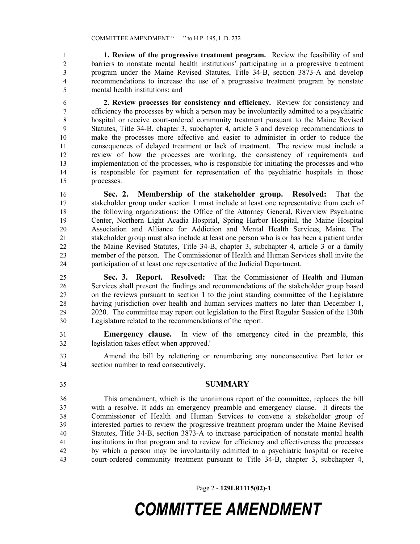**1. Review of the progressive treatment program.** Review the feasibility of and barriers to nonstate mental health institutions' participating in a progressive treatment program under the Maine Revised Statutes, Title 34-B, section 3873-A and develop recommendations to increase the use of a progressive treatment program by nonstate mental health institutions; and

 **2. Review processes for consistency and efficiency.** Review for consistency and efficiency the processes by which a person may be involuntarily admitted to a psychiatric hospital or receive court-ordered community treatment pursuant to the Maine Revised Statutes, Title 34-B, chapter 3, subchapter 4, article 3 and develop recommendations to make the processes more effective and easier to administer in order to reduce the consequences of delayed treatment or lack of treatment. The review must include a review of how the processes are working, the consistency of requirements and implementation of the processes, who is responsible for initiating the processes and who is responsible for payment for representation of the psychiatric hospitals in those processes.

 **Sec. 2. Membership of the stakeholder group. Resolved:** That the stakeholder group under section 1 must include at least one representative from each of the following organizations: the Office of the Attorney General, Riverview Psychiatric Center, Northern Light Acadia Hospital, Spring Harbor Hospital, the Maine Hospital Association and Alliance for Addiction and Mental Health Services, Maine. The stakeholder group must also include at least one person who is or has been a patient under the Maine Revised Statutes, Title 34-B, chapter 3, subchapter 4, article 3 or a family member of the person. The Commissioner of Health and Human Services shall invite the participation of at least one representative of the Judicial Department.

 **Sec. 3. Report. Resolved:** That the Commissioner of Health and Human Services shall present the findings and recommendations of the stakeholder group based on the reviews pursuant to section 1 to the joint standing committee of the Legislature having jurisdiction over health and human services matters no later than December 1, 2020. The committee may report out legislation to the First Regular Session of the 130th Legislature related to the recommendations of the report.

 **Emergency clause.** In view of the emergency cited in the preamble, this legislation takes effect when approved.'

 Amend the bill by relettering or renumbering any nonconsecutive Part letter or section number to read consecutively.

**SUMMARY**

 This amendment, which is the unanimous report of the committee, replaces the bill with a resolve. It adds an emergency preamble and emergency clause. It directs the Commissioner of Health and Human Services to convene a stakeholder group of interested parties to review the progressive treatment program under the Maine Revised Statutes, Title 34-B, section 3873-A to increase participation of nonstate mental health institutions in that program and to review for efficiency and effectiveness the processes by which a person may be involuntarily admitted to a psychiatric hospital or receive court-ordered community treatment pursuant to Title 34-B, chapter 3, subchapter 4,

Page 2 **- 129LR1115(02)-1**

## *COMMITTEE AMENDMENT*